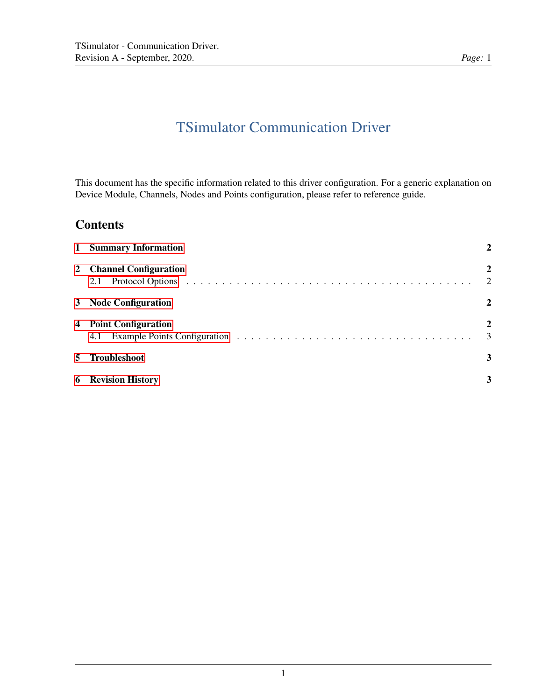# TSimulator Communication Driver

This document has the specific information related to this driver configuration. For a generic explanation on Device Module, Channels, Nodes and Points configuration, please refer to reference guide.

# **Contents**

| 1 Summary Information                                                                                                                                                                                                                                            |                                  |  |  |
|------------------------------------------------------------------------------------------------------------------------------------------------------------------------------------------------------------------------------------------------------------------|----------------------------------|--|--|
| 2 Channel Configuration<br>Protocol Options (a) and a series and a series of the contract of the contract of the contract of the contract of the contract of the contract of the contract of the contract of the contract of the contract of the contract<br>2.1 | $\overline{2}$<br>$\overline{2}$ |  |  |
| 3 Node Configuration                                                                                                                                                                                                                                             | $\mathbf{2}$                     |  |  |
| 4 Point Configuration<br>4.1                                                                                                                                                                                                                                     | $\overline{2}$<br>3              |  |  |
| 5 Troubleshoot                                                                                                                                                                                                                                                   | 3                                |  |  |
| <b>6</b> Revision History                                                                                                                                                                                                                                        | 3                                |  |  |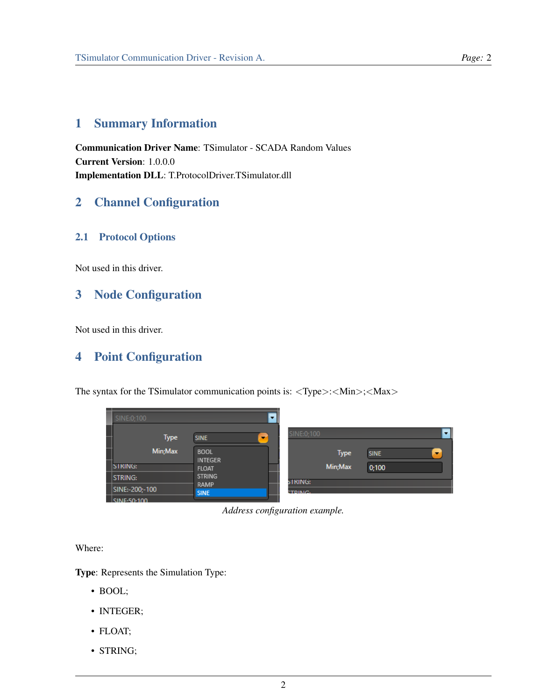# <span id="page-1-0"></span>1 Summary Information

Communication Driver Name: TSimulator - SCADA Random Values Current Version: 1.0.0.0 Implementation DLL: T.ProtocolDriver.TSimulator.dll

## <span id="page-1-1"></span>2 Channel Configuration

#### <span id="page-1-2"></span>2.1 Protocol Options

Not used in this driver.

#### <span id="page-1-3"></span>3 Node Configuration

Not used in this driver.

### <span id="page-1-4"></span>4 Point Configuration

The syntax for the TSimulator communication points is:  $\langle \text{Type}\rangle$ :  $\langle \text{Min}\rangle$ ;  $\langle \text{Max}\rangle$ 

| ┙ |                        |                                         |                 |             |                                         |
|---|------------------------|-----------------------------------------|-----------------|-------------|-----------------------------------------|
|   | SINE:0:100             |                                         |                 |             |                                         |
|   | <b>Type</b>            | <b>SINE</b><br>$\overline{\phantom{a}}$ | SINE:0:100      |             |                                         |
| L | Min; Max               | <b>BOOL</b><br><b>INTEGER</b>           |                 | <b>Type</b> | <b>SINE</b><br>$\overline{\phantom{a}}$ |
|   | <b>SIRING:</b>         | <b>FLOAT</b>                            |                 | Min; Max    | 0;100                                   |
|   | <b>STRING:</b>         | <b>STRING</b>                           | string:         |             |                                         |
|   | SINE:-200;-100         | RAMP<br><b>SINE</b>                     | <b>CTDIMIC.</b> |             |                                         |
|   | $\mathsf{CIME}$ 50.100 |                                         |                 |             |                                         |

*Address configuration example.*

Where:

Type: Represents the Simulation Type:

- BOOL;
- INTEGER;
- FLOAT;
- STRING;